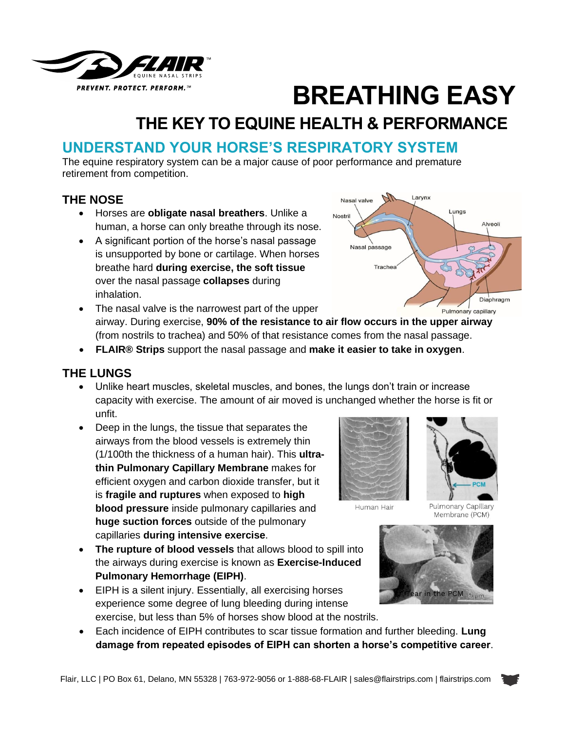

# **BREATHING EASY**

# **THE KEY TO EQUINE HEALTH & PERFORMANCE**

## **UNDERSTAND YOUR HORSE'S RESPIRATORY SYSTEM**

The equine respiratory system can be a major cause of poor performance and premature retirement from competition.

#### **THE NOSE**

- Horses are **obligate nasal breathers**. Unlike a human, a horse can only breathe through its nose.
- A significant portion of the horse's nasal passage is unsupported by bone or cartilage. When horses breathe hard **during exercise, the soft tissue** over the nasal passage **collapses** during inhalation.



- The nasal valve is the narrowest part of the upper Pulmonary capillary airway. During exercise, **90% of the resistance to air flow occurs in the upper airway** (from nostrils to trachea) and 50% of that resistance comes from the nasal passage.
- **FLAIR® Strips** support the nasal passage and **make it easier to take in oxygen**.

#### **THE LUNGS**

- Unlike heart muscles, skeletal muscles, and bones, the lungs don't train or increase capacity with exercise. The amount of air moved is unchanged whether the horse is fit or unfit.
- Deep in the lungs, the tissue that separates the airways from the blood vessels is extremely thin (1/100th the thickness of a human hair). This **ultrathin Pulmonary Capillary Membrane** makes for efficient oxygen and carbon dioxide transfer, but it is **fragile and ruptures** when exposed to **high blood pressure** inside pulmonary capillaries and **huge suction forces** outside of the pulmonary capillaries **during intensive exercise**.
- **The rupture of blood vessels** that allows blood to spill into the airways during exercise is known as **Exercise-Induced Pulmonary Hemorrhage (EIPH)**.
- EIPH is a silent injury. Essentially, all exercising horses experience some degree of lung bleeding during intense exercise, but less than 5% of horses show blood at the nostrils.







• Each incidence of EIPH contributes to scar tissue formation and further bleeding. **Lung damage from repeated episodes of EIPH can shorten a horse's competitive career**.